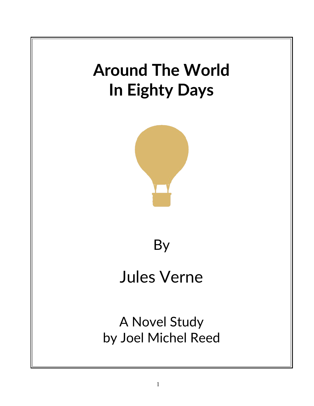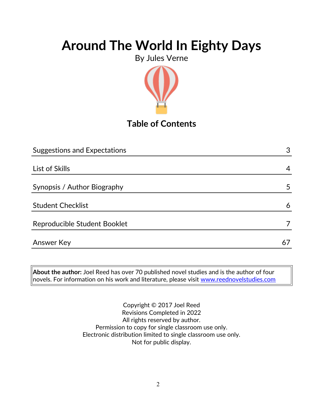By Jules Verne



## **Table of Contents**

| <b>Suggestions and Expectations</b> | 3  |
|-------------------------------------|----|
|                                     |    |
| List of Skills                      | 4  |
|                                     |    |
| Synopsis / Author Biography         | 5  |
|                                     |    |
| <b>Student Checklist</b>            | 6  |
| Reproducible Student Booklet        |    |
| <b>Answer Key</b>                   | 67 |
|                                     |    |

**About the author:** Joel Reed has over 70 published novel studies and is the author of four  $|$ novels. For information on his work and literature, please visit [www.reednovelstudies.com](http://www.reednovelstudies.com/)

> Copyright © 2017 Joel Reed Revisions Completed in 2022 All rights reserved by author. Permission to copy for single classroom use only. Electronic distribution limited to single classroom use only. Not for public display.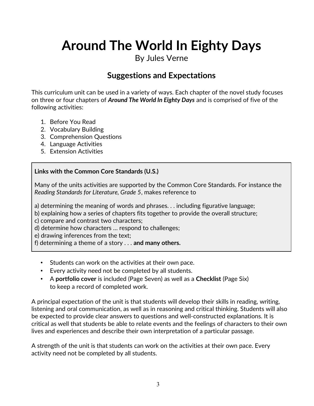By Jules Verne

### **Suggestions and Expectations**

This curriculum unit can be used in a variety of ways. Each chapter of the novel study focuses on three or four chapters of *Around The World In Eighty Days* and is comprised of five of the following activities:

- 1. Before You Read
- 2. Vocabulary Building
- 3. Comprehension Questions
- 4. Language Activities
- 5. Extension Activities

#### **Links with the Common Core Standards (U.S.)**

Many of the units activities are supported by the Common Core Standards. For instance the *Reading Standards for Literature, Grade 5*, makes reference to

a) determining the meaning of words and phrases. . . including figurative language;

b) explaining how a series of chapters fits together to provide the overall structure;

c) compare and contrast two characters;

d) determine how characters … respond to challenges;

e) drawing inferences from the text;

f) determining a theme of a story . . . **and many others.**

- Students can work on the activities at their own pace.
- Every activity need not be completed by all students.
- A **portfolio cover** is included (Page Seven) as well as a **Checklist** (Page Six) to keep a record of completed work.

A principal expectation of the unit is that students will develop their skills in reading, writing, listening and oral communication, as well as in reasoning and critical thinking. Students will also be expected to provide clear answers to questions and well-constructed explanations. It is critical as well that students be able to relate events and the feelings of characters to their own lives and experiences and describe their own interpretation of a particular passage.

A strength of the unit is that students can work on the activities at their own pace. Every activity need not be completed by all students.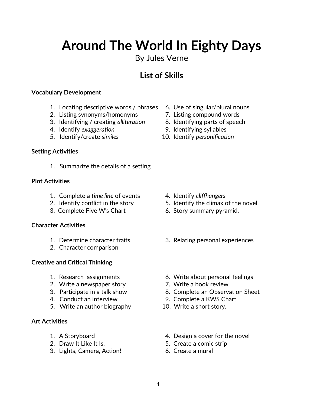### By Jules Verne

## **List of Skills**

#### **Vocabulary Development**

- 1. Locating descriptive words / phrases 6. Use of singular/plural nouns
- 2. Listing synonyms/homonyms 7. Listing compound words
- 3. Identifying / creating *alliteration* 8. Identifying parts of speech
- 4. Identify *exaggeration* 9. Identifying syllables
- 

#### **Setting Activities**

1. Summarize the details of a setting

#### **Plot Activities**

- 1. Complete a *time line* of events 4. Identify *cliffhangers*
- 
- 3. Complete Five W's Chart 6. Story summary pyramid.

#### **Character Activities**

- 
- 2. Character comparison

#### **Creative and Critical Thinking**

- 
- 2. Write a newspaper story **7.** Write a book review
- 
- 
- 5. Write an author biography 10. Write a short story.

#### **Art Activities**

- 
- 
- 3. Lights, Camera, Action! 6. Create a mural
- 
- 
- 
- 
- 5. Identify/create *similes* 10. Identify *personification*

- 
- 2. Identify conflict in the story 5. Identify the climax of the novel.
	-
- 1. Determine character traits 3. Relating personal experiences
- 1. Research assignments 6. Write about personal feelings
	-
- 3. Participate in a talk show 8. Complete an Observation Sheet
- 4. Conduct an interview 9. Complete a KWS Chart
	-
- 1. A Storyboard **1.** A Storyboard **1.** A Storyboard
- 2. Draw It Like It Is. 5. Create a comic strip
	-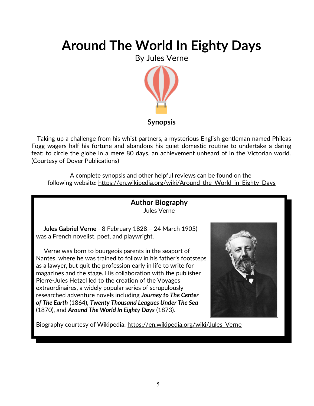By Jules Verne



#### **Synopsis**

 Taking up a challenge from his whist partners, a mysterious English gentleman named Phileas Fogg wagers half his fortune and abandons his quiet domestic routine to undertake a daring feat: to circle the globe in a mere 80 days, an achievement unheard of in the Victorian world. (Courtesy of Dover Publications)

A complete synopsis and other helpful reviews can be found on the following website: https://en.wikipedia.org/wiki/Around the World in Eighty Days



Biography courtesy of Wikipedia: https://en.wikipedia.org/wiki/Jules\_Verne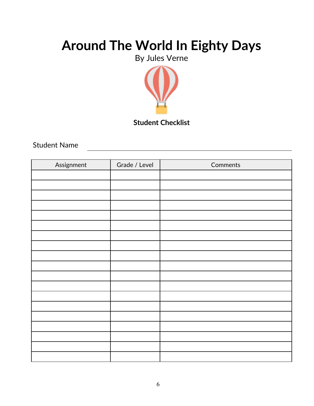By Jules Verne



### **Student Checklist**

Student Name

| Assignment | Grade / Level | Comments |
|------------|---------------|----------|
|            |               |          |
|            |               |          |
|            |               |          |
|            |               |          |
|            |               |          |
|            |               |          |
|            |               |          |
|            |               |          |
|            |               |          |
|            |               |          |
|            |               |          |
|            |               |          |
|            |               |          |
|            |               |          |
|            |               |          |
|            |               |          |
|            |               |          |
|            |               |          |
|            |               |          |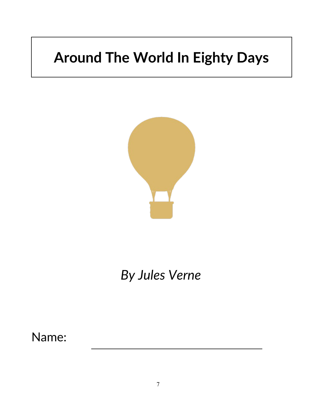

# *By Jules Verne*

Name: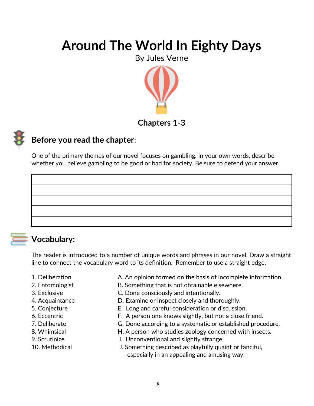By Jules Verne



### **Chapters 1-3**



### **Before you read the chapter**:

One of the primary themes of our novel focuses on gambling. In your own words, describe whether you believe gambling to be good or bad for society. Be sure to defend your answer.

### **Vocabulary:**

The reader is introduced to a number of unique words and phrases in our novel. Draw a straight line to connect the vocabulary word to its definition. Remember to use a straight edge.

- 
- 1. Deliberation **A.** An opinion formed on the basis of incomplete information.
- 2. Entomologist B. Something that is not obtainable elsewhere.
- 3. Exclusive C. Done consciously and intentionally.
- 4. Acquaintance D. Examine or inspect closely and thoroughly.
- 5. Conjecture E. Long and careful consideration or discussion.
- 6. Eccentric F. A person one knows slightly, but not a close friend.
- 7. Deliberate G. Done according to a systematic or established procedure.
- 8. Whimsical **H. A person who studies zoology concerned with insects.**
- 
- 
- 9. Scrutinize I. Unconventional and slightly strange.
- 10. Methodical J. Something described as playfully quaint or fanciful, especially in an appealing and amusing way.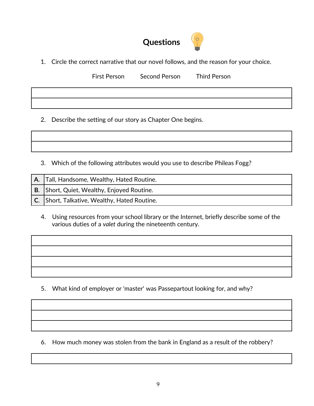## **Questions**

1. Circle the correct narrative that our novel follows, and the reason for your choice.

First Person Second Person Third Person

2. Describe the setting of our story as Chapter One begins.

3. Which of the following attributes would you use to describe Phileas Fogg?

| A.   Tall, Handsome, Wealthy, Hated Routine. |
|----------------------------------------------|
| B. Short, Quiet, Wealthy, Enjoyed Routine.   |
| C. Short, Talkative, Wealthy, Hated Routine. |

 4. Using resources from your school library or the Internet, briefly describe some of the various duties of a *valet* during the nineteenth century.

5. What kind of employer or 'master' was Passepartout looking for, and why?

6. How much money was stolen from the bank in England as a result of the robbery?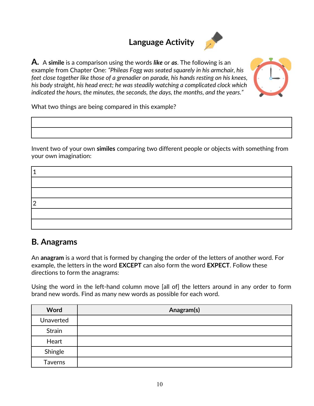## **Language Activity**



**A.** A **simile** is a comparison using the words *like* or *as*. The following is an example from Chapter One: *"Phileas Fogg was seated squarely in his armchair, his feet close together like those of a grenadier on parade, his hands resting on his knees, his body straight, his head erect; he was steadily watching a complicated clock which indicated the hours, the minutes, the seconds, the days, the months, and the years."* 



What two things are being compared in this example?

Invent two of your own **similes** comparing two different people or objects with something from your own imagination:

### **B. Anagrams**

An **anagram** is a word that is formed by changing the order of the letters of another word. For example, the letters in the word **EXCEPT** can also form the word **EXPECT**. Follow these directions to form the anagrams:

Using the word in the left-hand column move [all of] the letters around in any order to form brand new words. Find as many new words as possible for each word.

| Word           | Anagram(s) |
|----------------|------------|
| Unaverted      |            |
| Strain         |            |
| Heart          |            |
| Shingle        |            |
| <b>Taverns</b> |            |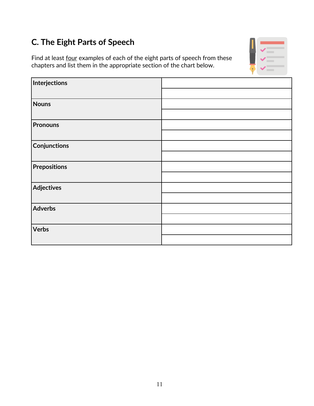## **C. The Eight Parts of Speech**

Find at least four examples of each of the eight parts of speech from these chapters and list them in the appropriate section of the chart below.



| Interjections       |  |
|---------------------|--|
|                     |  |
| <b>Nouns</b>        |  |
|                     |  |
| <b>Pronouns</b>     |  |
|                     |  |
| Conjunctions        |  |
|                     |  |
| <b>Prepositions</b> |  |
|                     |  |
| Adjectives          |  |
|                     |  |
| Adverbs             |  |
|                     |  |
| <b>Verbs</b>        |  |
|                     |  |